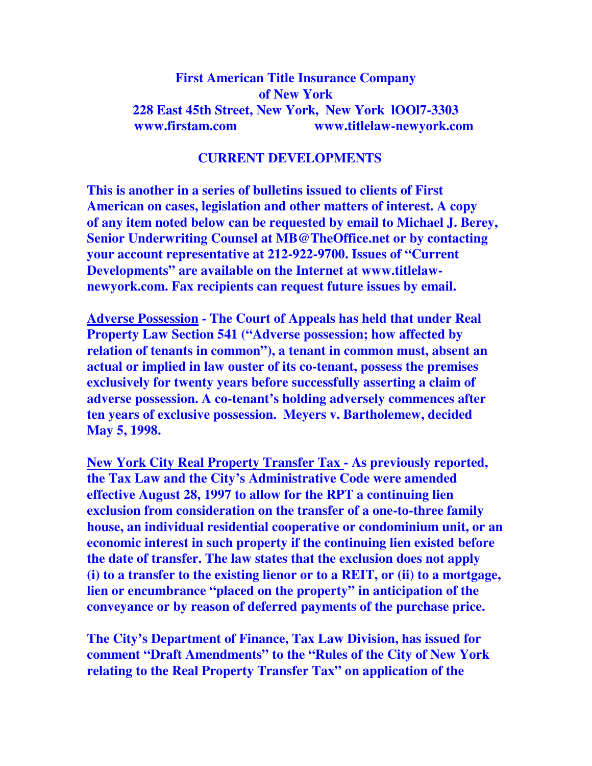## **First American Title Insurance Company of New York 228 East 45th Street, New York, New York lOOl7-3303 www.firstam.com www.titlelaw-newyork.com**

## **CURRENT DEVELOPMENTS**

**This is another in a series of bulletins issued to clients of First American on cases, legislation and other matters of interest. A copy of any item noted below can be requested by email to Michael J. Berey, Senior Underwriting Counsel at MB@TheOffice.net or by contacting your account representative at 212-922-9700. Issues of "Current Developments" are available on the Internet at www.titlelawnewyork.com. Fax recipients can request future issues by email.** 

**Adverse Possession - The Court of Appeals has held that under Real Property Law Section 541 ("Adverse possession; how affected by relation of tenants in common"), a tenant in common must, absent an actual or implied in law ouster of its co-tenant, possess the premises exclusively for twenty years before successfully asserting a claim of adverse possession. A co-tenant's holding adversely commences after ten years of exclusive possession. Meyers v. Bartholemew, decided May 5, 1998.** 

**New York City Real Property Transfer Tax - As previously reported, the Tax Law and the City's Administrative Code were amended effective August 28, 1997 to allow for the RPT a continuing lien exclusion from consideration on the transfer of a one-to-three family house, an individual residential cooperative or condominium unit, or an economic interest in such property if the continuing lien existed before the date of transfer. The law states that the exclusion does not apply (i) to a transfer to the existing lienor or to a REIT, or (ii) to a mortgage, lien or encumbrance "placed on the property" in anticipation of the conveyance or by reason of deferred payments of the purchase price.** 

**The City's Department of Finance, Tax Law Division, has issued for comment "Draft Amendments" to the "Rules of the City of New York relating to the Real Property Transfer Tax" on application of the**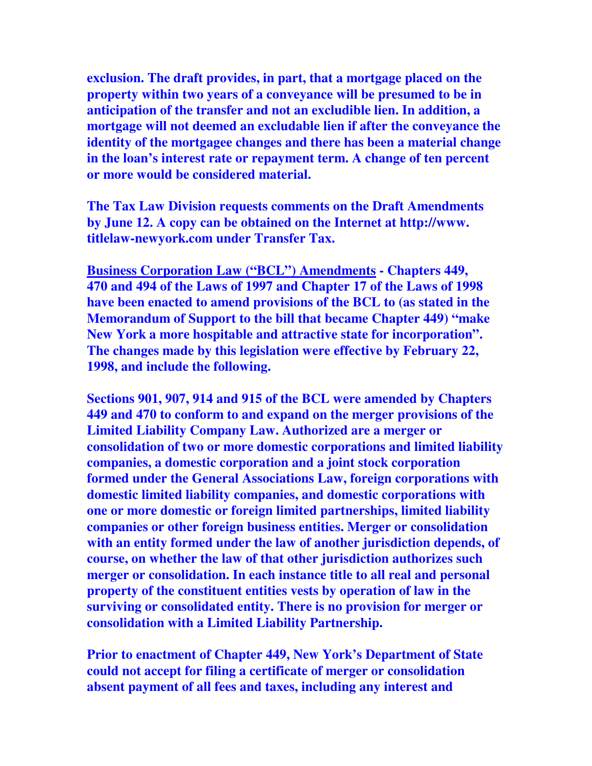**exclusion. The draft provides, in part, that a mortgage placed on the property within two years of a conveyance will be presumed to be in anticipation of the transfer and not an excludible lien. In addition, a mortgage will not deemed an excludable lien if after the conveyance the identity of the mortgagee changes and there has been a material change in the loan's interest rate or repayment term. A change of ten percent or more would be considered material.** 

**The Tax Law Division requests comments on the Draft Amendments by June 12. A copy can be obtained on the Internet at http://www. titlelaw-newyork.com under Transfer Tax.** 

**Business Corporation Law ("BCL") Amendments - Chapters 449, 470 and 494 of the Laws of 1997 and Chapter 17 of the Laws of 1998 have been enacted to amend provisions of the BCL to (as stated in the Memorandum of Support to the bill that became Chapter 449) "make New York a more hospitable and attractive state for incorporation". The changes made by this legislation were effective by February 22, 1998, and include the following.** 

**Sections 901, 907, 914 and 915 of the BCL were amended by Chapters 449 and 470 to conform to and expand on the merger provisions of the Limited Liability Company Law. Authorized are a merger or consolidation of two or more domestic corporations and limited liability companies, a domestic corporation and a joint stock corporation formed under the General Associations Law, foreign corporations with domestic limited liability companies, and domestic corporations with one or more domestic or foreign limited partnerships, limited liability companies or other foreign business entities. Merger or consolidation with an entity formed under the law of another jurisdiction depends, of course, on whether the law of that other jurisdiction authorizes such merger or consolidation. In each instance title to all real and personal property of the constituent entities vests by operation of law in the surviving or consolidated entity. There is no provision for merger or consolidation with a Limited Liability Partnership.**

**Prior to enactment of Chapter 449, New York's Department of State could not accept for filing a certificate of merger or consolidation absent payment of all fees and taxes, including any interest and**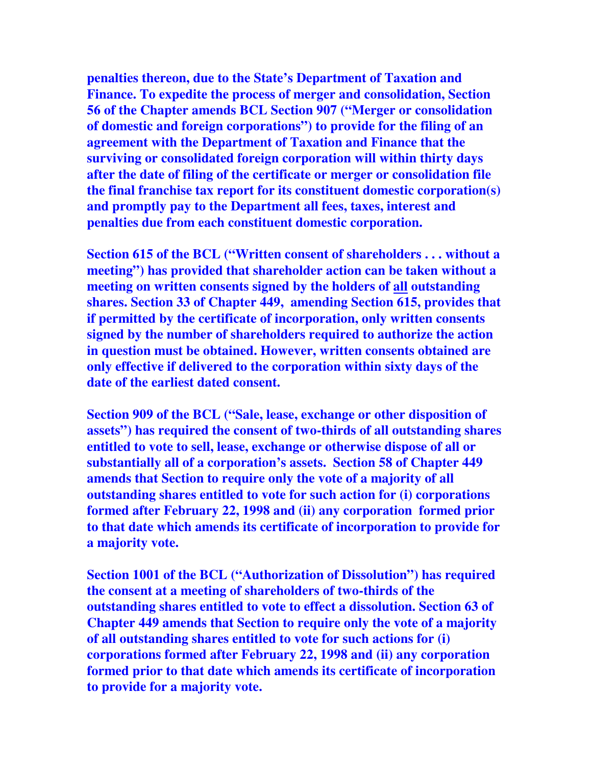**penalties thereon, due to the State's Department of Taxation and Finance. To expedite the process of merger and consolidation, Section 56 of the Chapter amends BCL Section 907 ("Merger or consolidation of domestic and foreign corporations") to provide for the filing of an agreement with the Department of Taxation and Finance that the surviving or consolidated foreign corporation will within thirty days after the date of filing of the certificate or merger or consolidation file the final franchise tax report for its constituent domestic corporation(s) and promptly pay to the Department all fees, taxes, interest and penalties due from each constituent domestic corporation.** 

**Section 615 of the BCL ("Written consent of shareholders . . . without a meeting") has provided that shareholder action can be taken without a meeting on written consents signed by the holders of all outstanding shares. Section 33 of Chapter 449, amending Section 615, provides that if permitted by the certificate of incorporation, only written consents signed by the number of shareholders required to authorize the action in question must be obtained. However, written consents obtained are only effective if delivered to the corporation within sixty days of the date of the earliest dated consent.** 

**Section 909 of the BCL ("Sale, lease, exchange or other disposition of assets") has required the consent of two-thirds of all outstanding shares entitled to vote to sell, lease, exchange or otherwise dispose of all or substantially all of a corporation's assets. Section 58 of Chapter 449 amends that Section to require only the vote of a majority of all outstanding shares entitled to vote for such action for (i) corporations formed after February 22, 1998 and (ii) any corporation formed prior to that date which amends its certificate of incorporation to provide for a majority vote.** 

**Section 1001 of the BCL ("Authorization of Dissolution") has required the consent at a meeting of shareholders of two-thirds of the outstanding shares entitled to vote to effect a dissolution. Section 63 of Chapter 449 amends that Section to require only the vote of a majority of all outstanding shares entitled to vote for such actions for (i) corporations formed after February 22, 1998 and (ii) any corporation formed prior to that date which amends its certificate of incorporation to provide for a majority vote.**